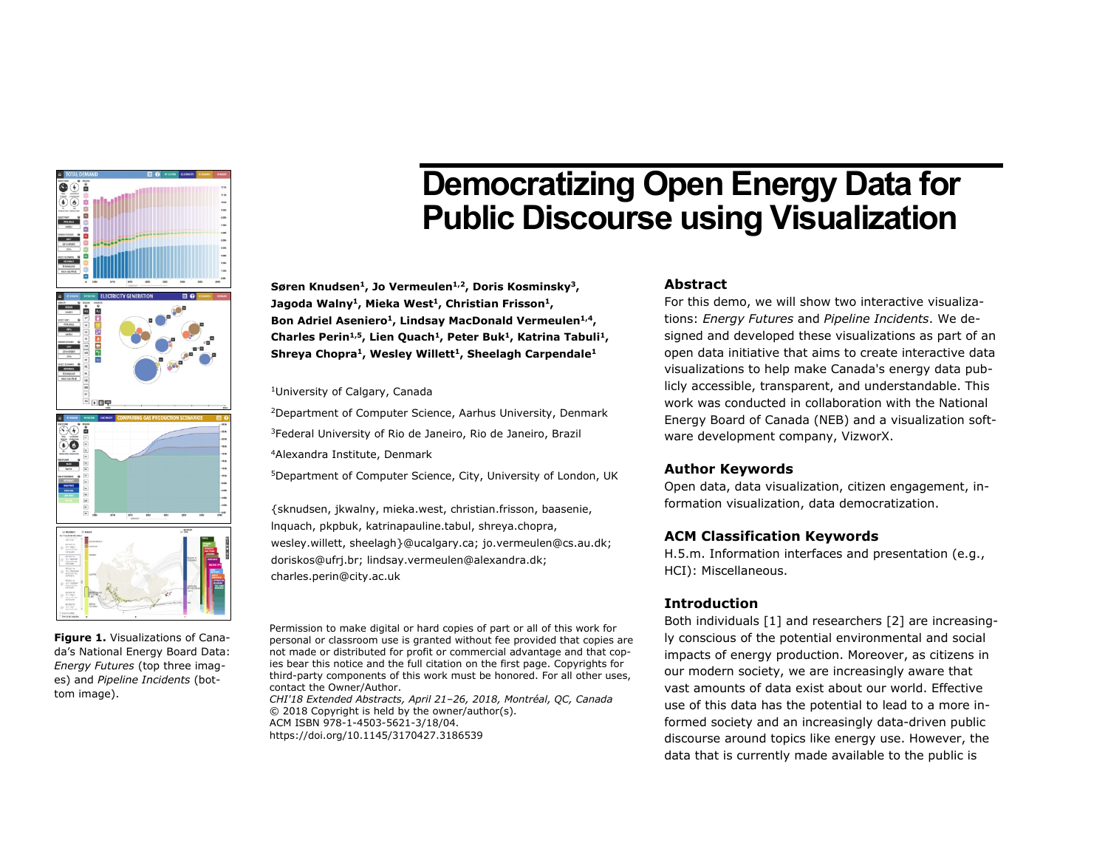

**Figure 1.** Visualizations of Canada's National Energy Board Data: *Energy Futures* (top three images) and *Pipeline Incidents* (bottom image).

# Democratizing Open Energy Data for Public Discourse using Visualization

**Søren Knudsen<sup>1</sup>, Jo Vermeulen1,2, Doris Kosminsky<sup>3</sup>, Jagoda Walny<sup>1</sup>, Mieka West <sup>1</sup>, Christian Frisson<sup>1</sup>, Bon Adriel Aseniero<sup>1</sup>, Lindsay MacDonald Vermeulen1,4, Charles Perin1,5, Lien Quach<sup>1</sup>, Peter Buk<sup>1</sup>, Katrina Tabuli<sup>1</sup>, Shreya Chopra<sup>1</sup>, Wesley Willett<sup>1</sup>, Sheelagh Carpendale<sup>1</sup>**

<sup>1</sup>University of Calgary, Canada

<sup>2</sup>Department of Computer Science, Aarhus University, Denmark <sup>3</sup>Federal University of Rio de Janeiro, Rio de Janeiro, Brazil <sup>4</sup>Alexandra Institute, Denmark

<sup>5</sup>Department of Computer Science, City, University of London, UK

{sknudsen, jkwalny, mieka.west, christian.frisson, baasenie, lnquach, pkpbuk, katrinapauline.tabul, shreya.chopra, wesley.willett, sheelagh}@ucalgary.ca; jo.vermeulen@cs.au.dk; doriskos@ufrj.br; lindsay.vermeulen@alexandra.dk; charles.perin@city.ac.uk

Permission to make digital or hard copies of part or all of this work for personal or classroom use is granted without fee provided that copies are not made or distributed for profit or commercial advantage and that copies bear this notice and the full citation on the first page. Copyrights for third-party components of this work must be honored. For all other uses, contact the Owner/Author.

*CHI'18 Extended Abstracts, April 21–26, 2018, Montréal, QC, Canada* © 2018 Copyright is held by the owner/author(s). ACM ISBN 978-1-4503-5621-3/18/04. https://doi.org/10.1145/3170427.3186539

# **Abstract**

For this demo, we will show two interactive visualizations: *Energy Futures* and *Pipeline Incidents*. We designed and developed these visualizations as part of an open data initiative that aims to create interactive data visualizations to help make Canada's energy data publicly accessible, transparent, and understandable. This work was conducted in collaboration with the National Energy Board of Canada (NEB) and a visualization software development company, VizworX.

## **Author Keywords**

Open data, data visualization, citizen engagement, information visualization, data democratization.

## **ACM Classification Keywords**

H.5.m. Information interfaces and presentation (e.g., HCI): Miscellaneous.

## **Introduction**

Both individuals [1] and researchers [2] are increasingly conscious of the potential environmental and social impacts of energy production. Moreover, as citizens in our modern society, we are increasingly aware that vast amounts of data exist about our world. Effective use of this data has the potential to lead to a more informed society and an increasingly data-driven public discourse around topics like energy use. However, the data that is currently made available to the public is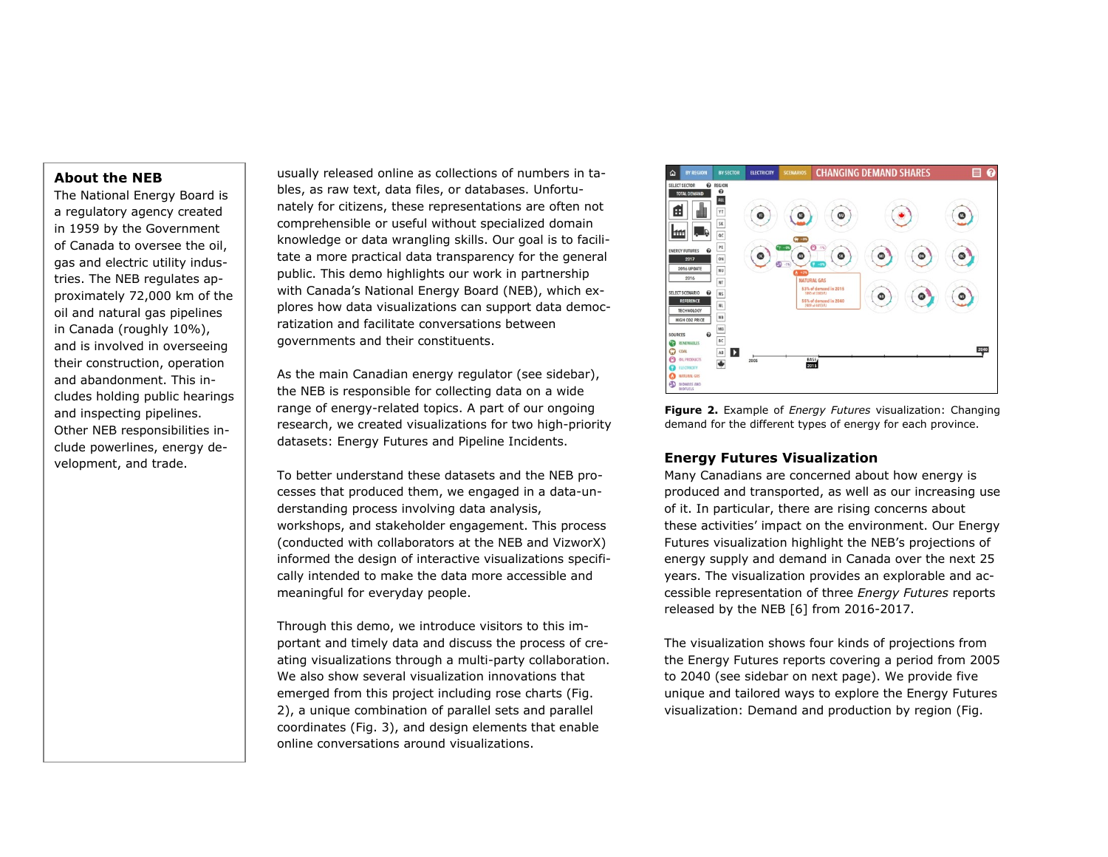## **About the NEB**

The National Energy Board is a regulatory agency created in 1959 by the Government of Canada to oversee the oil, gas and electric utility industries. The NEB regulates approximately 72,000 km of the oil and natural gas pipelines in Canada (roughly 10%), and is involved in overseeing their construction, operation and abandonment. This includes holding public hearings and inspecting pipelines. Other NEB responsibilities include powerlines, energy development, and trade.

usually released online as collections of numbers in tables, as raw text, data files, or databases. Unfortunately for citizens, these representations are often not comprehensible or useful without specialized domain knowledge or data wrangling skills. Our goal is to facilitate a more practical data transparency for the general public. This demo highlights our work in partnership with Canada's National Energy Board (NEB), which explores how data visualizations can support data democratization and facilitate conversations between governments and their constituents.

As the main Canadian energy regulator (see sidebar), the NEB is responsible for collecting data on a wide range of energy-related topics. A part of our ongoing research, we created visualizations for two high-priority datasets: Energy Futures and Pipeline Incidents.

To better understand these datasets and the NEB processes that produced them, we engaged in a data-understanding process involving data analysis, workshops, and stakeholder engagement. This process (conducted with collaborators at the NEB and VizworX) informed the design of interactive visualizations specifically intended to make the data more accessible and meaningful for everyday people.

Through this demo, we introduce visitors to this important and timely data and discuss the process of creating visualizations through a multi-party collaboration. We also show several visualization innovations that emerged from this project including rose charts (Fig. 2), a unique combination of parallel sets and parallel coordinates (Fig. 3), and design elements that enable online conversations around visualizations.



**Figure 2.** Example of *Energy Futures* visualization: Changing demand for the different types of energy for each province.

# **Energy Futures Visualization**

Many Canadians are concerned about how energy is produced and transported, as well as our increasing use of it. In particular, there are rising concerns about these activities' impact on the environment. Our Energy Futures visualization highlight the NEB's projections of energy supply and demand in Canada over the next 25 years. The visualization provides an explorable and accessible representation of three *Energy Futures* reports released by the NEB [6] from 2016-2017.

The visualization shows four kinds of projections from the Energy Futures reports covering a period from 2005 to 2040 (see sidebar on next page). We provide five unique and tailored ways to explore the Energy Futures visualization: Demand and production by region (Fig.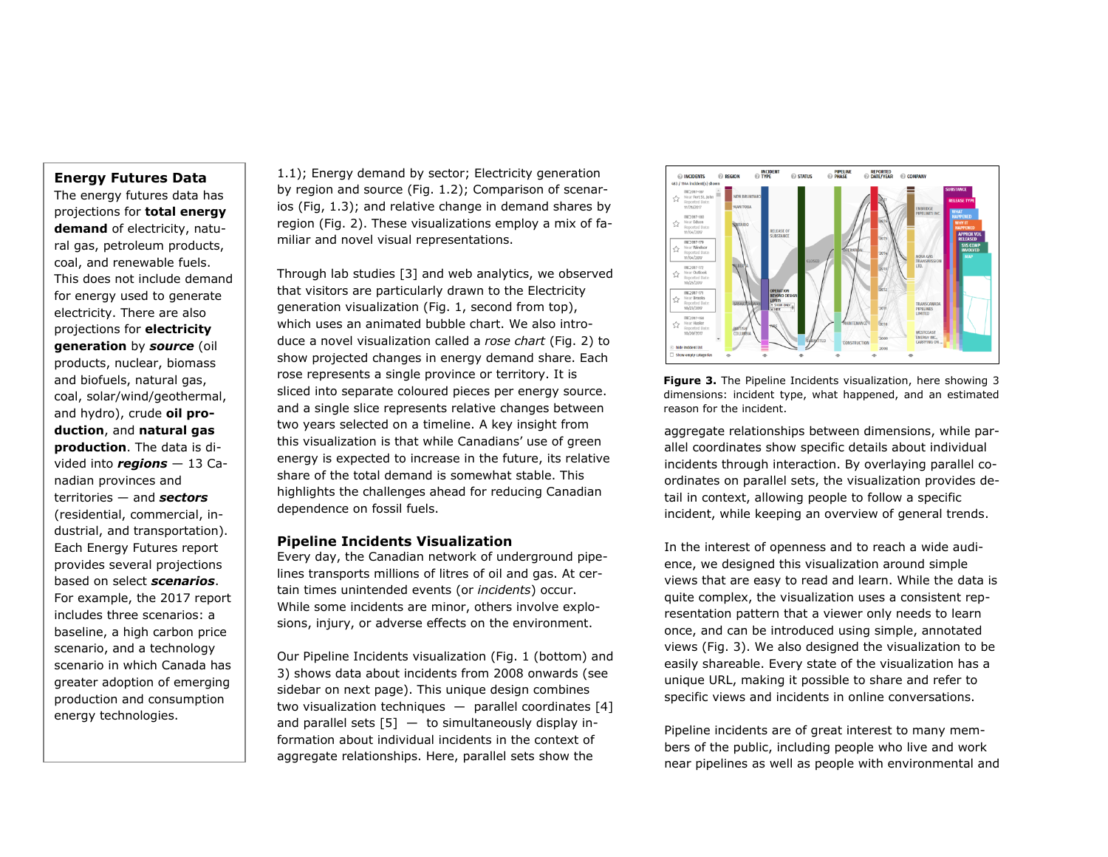### **Energy Futures Data**

The energy futures data has projections for **total energy demand** of electricity, natural gas, petroleum products, coal, and renewable fuels. This does not include demand for energy used to generate electricity. There are also projections for **electricity generation** by *source* (oil products, nuclear, biomass and biofuels, natural gas, coal, solar/wind/geothermal, and hydro), crude **oil production**, and **natural gas production**. The data is divided into *regions* — 13 Canadian provinces and territories — and *sectors* (residential, commercial, industrial, and transportation). Each Energy Futures report provides several projections based on select *scenarios*. For example, the 2017 report includes three scenarios: a baseline, a high carbon price scenario, and a technology scenario in which Canada has greater adoption of emerging production and consumption energy technologies.

1.1); Energy demand by sector; Electricity generation by region and source (Fig. 1.2); Comparison of scenarios (Fig, 1.3); and relative change in demand shares by region (Fig. 2). These visualizations employ a mix of familiar and novel visual representations.

Through lab studies [3] and web analytics, we observed that visitors are particularly drawn to the Electricity generation visualization (Fig. 1, second from top), which uses an animated bubble chart. We also introduce a novel visualization called a *rose chart* (Fig. 2) to show projected changes in energy demand share. Each rose represents a single province or territory. It is sliced into separate coloured pieces per energy source. and a single slice represents relative changes between two years selected on a timeline. A key insight from this visualization is that while Canadians' use of green energy is expected to increase in the future, its relative share of the total demand is somewhat stable. This highlights the challenges ahead for reducing Canadian dependence on fossil fuels.

#### **Pipeline Incidents Visualization**

Every day, the Canadian network of underground pipelines transports millions of litres of oil and gas. At certain times unintended events (or *incidents*) occur. While some incidents are minor, others involve explosions, injury, or adverse effects on the environment.

Our Pipeline Incidents visualization (Fig. 1 (bottom) and 3) shows data about incidents from 2008 onwards (see sidebar on next page). This unique design combines two visualization techniques  $-$  parallel coordinates [4] and parallel sets  $[5]$  - to simultaneously display information about individual incidents in the context of aggregate relationships. Here, parallel sets show the





aggregate relationships between dimensions, while parallel coordinates show specific details about individual incidents through interaction. By overlaying parallel coordinates on parallel sets, the visualization provides detail in context, allowing people to follow a specific incident, while keeping an overview of general trends.

In the interest of openness and to reach a wide audience, we designed this visualization around simple views that are easy to read and learn. While the data is quite complex, the visualization uses a consistent representation pattern that a viewer only needs to learn once, and can be introduced using simple, annotated views (Fig. 3). We also designed the visualization to be easily shareable. Every state of the visualization has a unique URL, making it possible to share and refer to specific views and incidents in online conversations.

Pipeline incidents are of great interest to many members of the public, including people who live and work near pipelines as well as people with environmental and